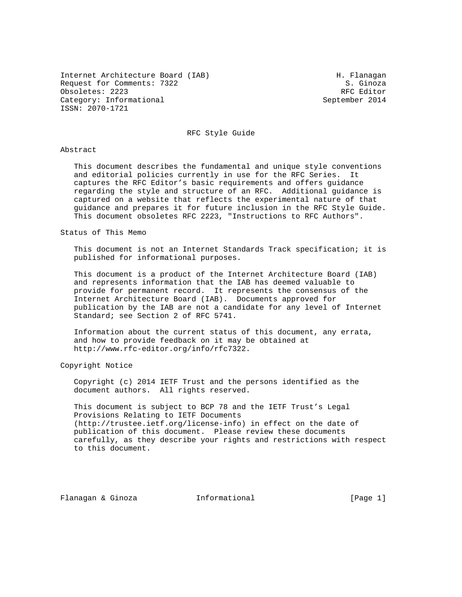Internet Architecture Board (IAB) M. Flanagan Request for Comments: 7322 S. Ginoza<br>
S. Ginoza<br>
Obsoletes: 2223 Obsoletes: 2223 Category: Informational September 2014 ISSN: 2070-1721

### RFC Style Guide

#### Abstract

 This document describes the fundamental and unique style conventions and editorial policies currently in use for the RFC Series. It captures the RFC Editor's basic requirements and offers guidance regarding the style and structure of an RFC. Additional guidance is captured on a website that reflects the experimental nature of that guidance and prepares it for future inclusion in the RFC Style Guide. This document obsoletes RFC 2223, "Instructions to RFC Authors".

#### Status of This Memo

 This document is not an Internet Standards Track specification; it is published for informational purposes.

 This document is a product of the Internet Architecture Board (IAB) and represents information that the IAB has deemed valuable to provide for permanent record. It represents the consensus of the Internet Architecture Board (IAB). Documents approved for publication by the IAB are not a candidate for any level of Internet Standard; see Section 2 of RFC 5741.

 Information about the current status of this document, any errata, and how to provide feedback on it may be obtained at http://www.rfc-editor.org/info/rfc7322.

Copyright Notice

 Copyright (c) 2014 IETF Trust and the persons identified as the document authors. All rights reserved.

 This document is subject to BCP 78 and the IETF Trust's Legal Provisions Relating to IETF Documents (http://trustee.ietf.org/license-info) in effect on the date of publication of this document. Please review these documents carefully, as they describe your rights and restrictions with respect to this document.

Flanagan & Ginoza Informational [Page 1]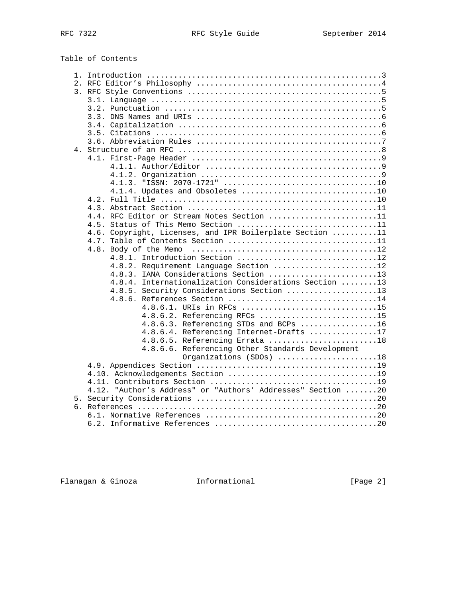Table of Contents

|  | 4.4. RFC Editor or Stream Notes Section 11                  |
|--|-------------------------------------------------------------|
|  | 4.5. Status of This Memo Section 11                         |
|  | 4.6. Copyright, Licenses, and IPR Boilerplate Section 11    |
|  |                                                             |
|  |                                                             |
|  | 4.8.1. Introduction Section 12                              |
|  | 4.8.2. Requirement Language Section 12                      |
|  | 4.8.3. IANA Considerations Section 13                       |
|  |                                                             |
|  | 4.8.4. Internationalization Considerations Section 13       |
|  | 4.8.5. Security Considerations Section 13                   |
|  | 4.8.6. References Section 14                                |
|  | 4.8.6.1. URIs in RFCs 15                                    |
|  | 4.8.6.2. Referencing RFCs 15                                |
|  | 4.8.6.3. Referencing STDs and BCPs 16                       |
|  | 4.8.6.4. Referencing Internet-Drafts 17                     |
|  | 4.8.6.5. Referencing Errata 18                              |
|  | 4.8.6.6. Referencing Other Standards Development            |
|  | Organizations (SDOs) 18                                     |
|  |                                                             |
|  |                                                             |
|  |                                                             |
|  | 4.12. "Author's Address" or "Authors' Addresses" Section 20 |
|  |                                                             |
|  |                                                             |
|  |                                                             |
|  | 6.2.                                                        |

Flanagan & Ginoza Informational [Page 2]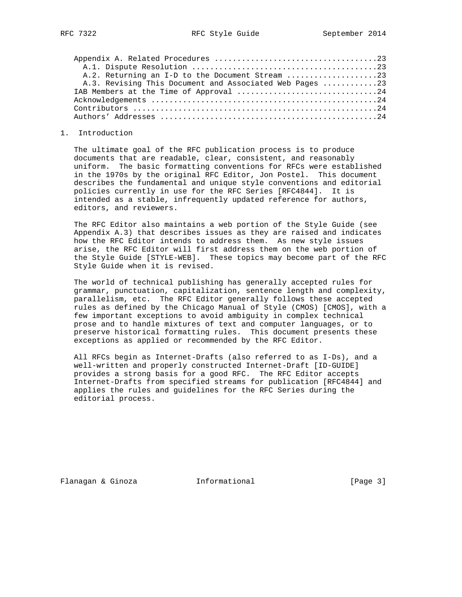| A.2. Returning an I-D to the Document Stream 23         |  |
|---------------------------------------------------------|--|
| A.3. Revising This Document and Associated Web Pages 23 |  |
|                                                         |  |
|                                                         |  |
|                                                         |  |
|                                                         |  |

#### 1. Introduction

 The ultimate goal of the RFC publication process is to produce documents that are readable, clear, consistent, and reasonably uniform. The basic formatting conventions for RFCs were established in the 1970s by the original RFC Editor, Jon Postel. This document describes the fundamental and unique style conventions and editorial policies currently in use for the RFC Series [RFC4844]. It is intended as a stable, infrequently updated reference for authors, editors, and reviewers.

 The RFC Editor also maintains a web portion of the Style Guide (see Appendix A.3) that describes issues as they are raised and indicates how the RFC Editor intends to address them. As new style issues arise, the RFC Editor will first address them on the web portion of the Style Guide [STYLE-WEB]. These topics may become part of the RFC Style Guide when it is revised.

 The world of technical publishing has generally accepted rules for grammar, punctuation, capitalization, sentence length and complexity, parallelism, etc. The RFC Editor generally follows these accepted rules as defined by the Chicago Manual of Style (CMOS) [CMOS], with a few important exceptions to avoid ambiguity in complex technical prose and to handle mixtures of text and computer languages, or to preserve historical formatting rules. This document presents these exceptions as applied or recommended by the RFC Editor.

 All RFCs begin as Internet-Drafts (also referred to as I-Ds), and a well-written and properly constructed Internet-Draft [ID-GUIDE] provides a strong basis for a good RFC. The RFC Editor accepts Internet-Drafts from specified streams for publication [RFC4844] and applies the rules and guidelines for the RFC Series during the editorial process.

Flanagan & Ginoza Informational [Page 3]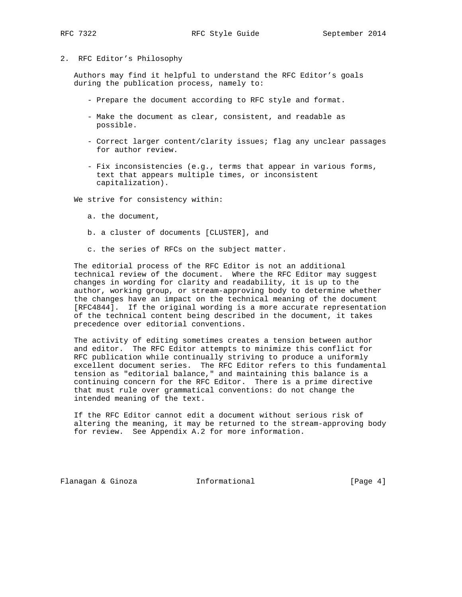## 2. RFC Editor's Philosophy

 Authors may find it helpful to understand the RFC Editor's goals during the publication process, namely to:

- Prepare the document according to RFC style and format.
- Make the document as clear, consistent, and readable as possible.
- Correct larger content/clarity issues; flag any unclear passages for author review.
- Fix inconsistencies (e.g., terms that appear in various forms, text that appears multiple times, or inconsistent capitalization).

We strive for consistency within:

- a. the document,
- b. a cluster of documents [CLUSTER], and
- c. the series of RFCs on the subject matter.

 The editorial process of the RFC Editor is not an additional technical review of the document. Where the RFC Editor may suggest changes in wording for clarity and readability, it is up to the author, working group, or stream-approving body to determine whether the changes have an impact on the technical meaning of the document [RFC4844]. If the original wording is a more accurate representation of the technical content being described in the document, it takes precedence over editorial conventions.

 The activity of editing sometimes creates a tension between author and editor. The RFC Editor attempts to minimize this conflict for RFC publication while continually striving to produce a uniformly excellent document series. The RFC Editor refers to this fundamental tension as "editorial balance," and maintaining this balance is a continuing concern for the RFC Editor. There is a prime directive that must rule over grammatical conventions: do not change the intended meaning of the text.

 If the RFC Editor cannot edit a document without serious risk of altering the meaning, it may be returned to the stream-approving body for review. See Appendix A.2 for more information.

Flanagan & Ginoza Informational [Page 4]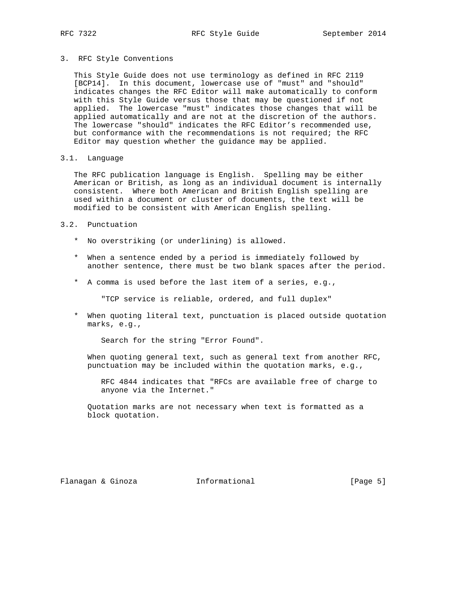3. RFC Style Conventions

 This Style Guide does not use terminology as defined in RFC 2119 [BCP14]. In this document, lowercase use of "must" and "should" indicates changes the RFC Editor will make automatically to conform with this Style Guide versus those that may be questioned if not applied. The lowercase "must" indicates those changes that will be applied automatically and are not at the discretion of the authors. The lowercase "should" indicates the RFC Editor's recommended use, but conformance with the recommendations is not required; the RFC Editor may question whether the guidance may be applied.

3.1. Language

 The RFC publication language is English. Spelling may be either American or British, as long as an individual document is internally consistent. Where both American and British English spelling are used within a document or cluster of documents, the text will be modified to be consistent with American English spelling.

#### 3.2. Punctuation

- \* No overstriking (or underlining) is allowed.
- \* When a sentence ended by a period is immediately followed by another sentence, there must be two blank spaces after the period.
- \* A comma is used before the last item of a series, e.g.,

"TCP service is reliable, ordered, and full duplex"

 \* When quoting literal text, punctuation is placed outside quotation marks, e.g.,

Search for the string "Error Found".

 When quoting general text, such as general text from another RFC, punctuation may be included within the quotation marks, e.g.,

 RFC 4844 indicates that "RFCs are available free of charge to anyone via the Internet."

 Quotation marks are not necessary when text is formatted as a block quotation.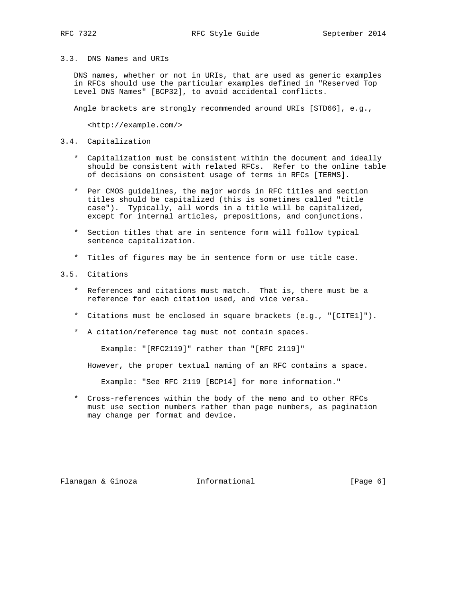### 3.3. DNS Names and URIs

 DNS names, whether or not in URIs, that are used as generic examples in RFCs should use the particular examples defined in "Reserved Top Level DNS Names" [BCP32], to avoid accidental conflicts.

Angle brackets are strongly recommended around URIs [STD66], e.g.,

<http://example.com/>

### 3.4. Capitalization

- \* Capitalization must be consistent within the document and ideally should be consistent with related RFCs. Refer to the online table of decisions on consistent usage of terms in RFCs [TERMS].
- \* Per CMOS guidelines, the major words in RFC titles and section titles should be capitalized (this is sometimes called "title case"). Typically, all words in a title will be capitalized, except for internal articles, prepositions, and conjunctions.
- \* Section titles that are in sentence form will follow typical sentence capitalization.
- \* Titles of figures may be in sentence form or use title case.

## 3.5. Citations

- \* References and citations must match. That is, there must be a reference for each citation used, and vice versa.
- \* Citations must be enclosed in square brackets (e.g., "[CITE1]").
- \* A citation/reference tag must not contain spaces.

Example: "[RFC2119]" rather than "[RFC 2119]"

However, the proper textual naming of an RFC contains a space.

Example: "See RFC 2119 [BCP14] for more information."

 \* Cross-references within the body of the memo and to other RFCs must use section numbers rather than page numbers, as pagination may change per format and device.

Flanagan & Ginoza Informational [Page 6]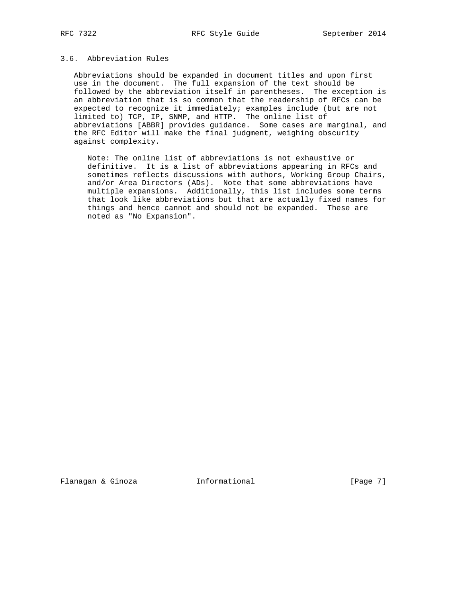# 3.6. Abbreviation Rules

 Abbreviations should be expanded in document titles and upon first use in the document. The full expansion of the text should be followed by the abbreviation itself in parentheses. The exception is an abbreviation that is so common that the readership of RFCs can be expected to recognize it immediately; examples include (but are not limited to) TCP, IP, SNMP, and HTTP. The online list of abbreviations [ABBR] provides guidance. Some cases are marginal, and the RFC Editor will make the final judgment, weighing obscurity against complexity.

 Note: The online list of abbreviations is not exhaustive or definitive. It is a list of abbreviations appearing in RFCs and sometimes reflects discussions with authors, Working Group Chairs, and/or Area Directors (ADs). Note that some abbreviations have multiple expansions. Additionally, this list includes some terms that look like abbreviations but that are actually fixed names for things and hence cannot and should not be expanded. These are noted as "No Expansion".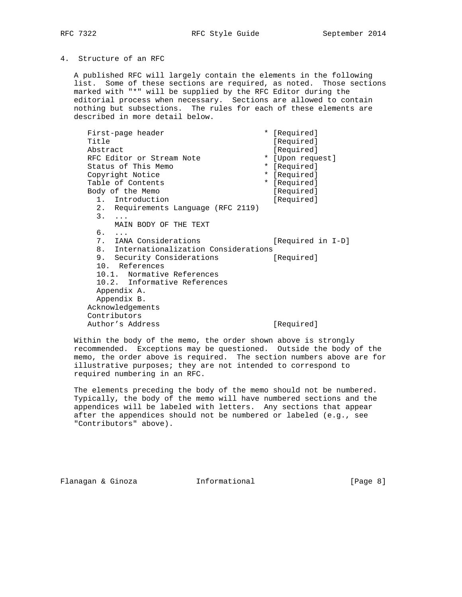### 4. Structure of an RFC

 A published RFC will largely contain the elements in the following list. Some of these sections are required, as noted. Those sections marked with "\*" will be supplied by the RFC Editor during the editorial process when necessary. Sections are allowed to contain nothing but subsections. The rules for each of these elements are described in more detail below.

First-page header \* [Required] Title [Required] Abstract [Required]<br>RFC Editor or Stream Note  $\qquad \qquad \qquad \ast$  [Upon request] RFC Editor or Stream Note \* [Upon request] Status of This Memo<br>
\* [Required] Copyright Notice  $*$  [Required] Table of Contents \* [Required] Body of the Memo [Required] 1. Introduction [Required] 2. Requirements Language (RFC 2119) 3. ... MAIN BODY OF THE TEXT 6. ... 7. IANA Considerations [Required in I-D] 8. Internationalization Considerations 9. Security Considerations [Required] 10. References 10.1. Normative References 10.2. Informative References Appendix A. Appendix B. Acknowledgements Contributors Author's Address [Required]

 Within the body of the memo, the order shown above is strongly recommended. Exceptions may be questioned. Outside the body of the memo, the order above is required. The section numbers above are for illustrative purposes; they are not intended to correspond to required numbering in an RFC.

 The elements preceding the body of the memo should not be numbered. Typically, the body of the memo will have numbered sections and the appendices will be labeled with letters. Any sections that appear after the appendices should not be numbered or labeled (e.g., see "Contributors" above).

Flanagan & Ginoza Informational [Page 8]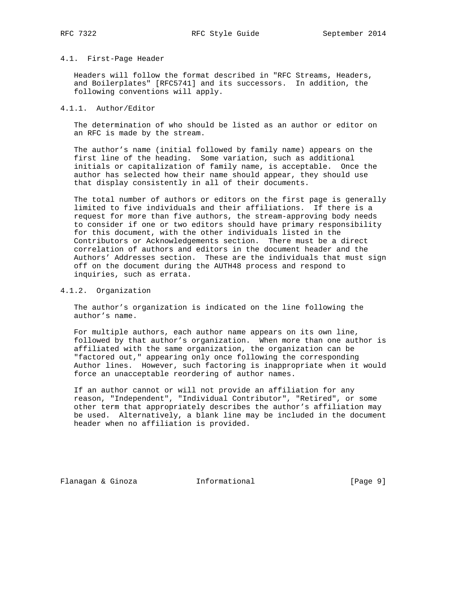#### 4.1. First-Page Header

 Headers will follow the format described in "RFC Streams, Headers, and Boilerplates" [RFC5741] and its successors. In addition, the following conventions will apply.

#### 4.1.1. Author/Editor

 The determination of who should be listed as an author or editor on an RFC is made by the stream.

 The author's name (initial followed by family name) appears on the first line of the heading. Some variation, such as additional initials or capitalization of family name, is acceptable. Once the author has selected how their name should appear, they should use that display consistently in all of their documents.

 The total number of authors or editors on the first page is generally limited to five individuals and their affiliations. If there is a request for more than five authors, the stream-approving body needs to consider if one or two editors should have primary responsibility for this document, with the other individuals listed in the Contributors or Acknowledgements section. There must be a direct correlation of authors and editors in the document header and the Authors' Addresses section. These are the individuals that must sign off on the document during the AUTH48 process and respond to inquiries, such as errata.

### 4.1.2. Organization

 The author's organization is indicated on the line following the author's name.

 For multiple authors, each author name appears on its own line, followed by that author's organization. When more than one author is affiliated with the same organization, the organization can be "factored out," appearing only once following the corresponding Author lines. However, such factoring is inappropriate when it would force an unacceptable reordering of author names.

 If an author cannot or will not provide an affiliation for any reason, "Independent", "Individual Contributor", "Retired", or some other term that appropriately describes the author's affiliation may be used. Alternatively, a blank line may be included in the document header when no affiliation is provided.

Flanagan & Ginoza Informational [Page 9]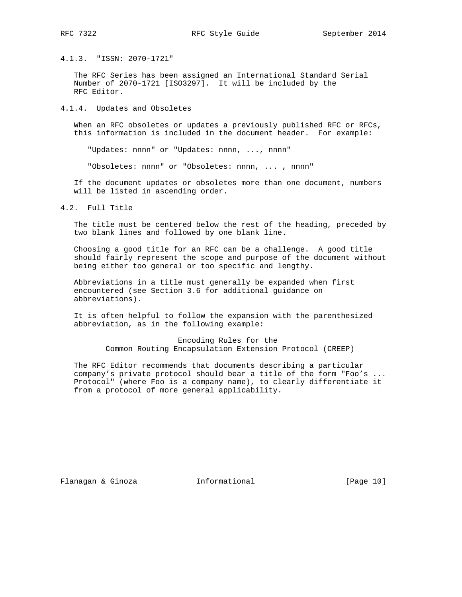4.1.3. "ISSN: 2070-1721"

 The RFC Series has been assigned an International Standard Serial Number of 2070-1721 [ISO3297]. It will be included by the RFC Editor.

4.1.4. Updates and Obsoletes

 When an RFC obsoletes or updates a previously published RFC or RFCs, this information is included in the document header. For example:

"Updates: nnnn" or "Updates: nnnn, ..., nnnn"

"Obsoletes: nnnn" or "Obsoletes: nnnn, ... , nnnn"

 If the document updates or obsoletes more than one document, numbers will be listed in ascending order.

4.2. Full Title

 The title must be centered below the rest of the heading, preceded by two blank lines and followed by one blank line.

 Choosing a good title for an RFC can be a challenge. A good title should fairly represent the scope and purpose of the document without being either too general or too specific and lengthy.

 Abbreviations in a title must generally be expanded when first encountered (see Section 3.6 for additional guidance on abbreviations).

 It is often helpful to follow the expansion with the parenthesized abbreviation, as in the following example:

> Encoding Rules for the Common Routing Encapsulation Extension Protocol (CREEP)

 The RFC Editor recommends that documents describing a particular company's private protocol should bear a title of the form "Foo's ... Protocol" (where Foo is a company name), to clearly differentiate it from a protocol of more general applicability.

Flanagan & Ginoza Informational [Page 10]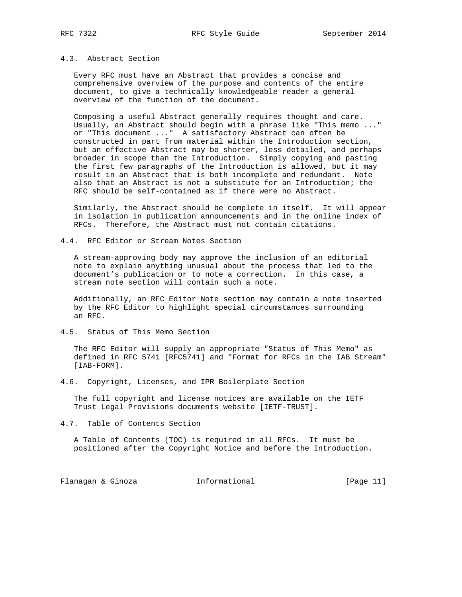## 4.3. Abstract Section

 Every RFC must have an Abstract that provides a concise and comprehensive overview of the purpose and contents of the entire document, to give a technically knowledgeable reader a general overview of the function of the document.

 Composing a useful Abstract generally requires thought and care. Usually, an Abstract should begin with a phrase like "This memo ..." or "This document ..." A satisfactory Abstract can often be constructed in part from material within the Introduction section, but an effective Abstract may be shorter, less detailed, and perhaps broader in scope than the Introduction. Simply copying and pasting the first few paragraphs of the Introduction is allowed, but it may result in an Abstract that is both incomplete and redundant. Note also that an Abstract is not a substitute for an Introduction; the RFC should be self-contained as if there were no Abstract.

 Similarly, the Abstract should be complete in itself. It will appear in isolation in publication announcements and in the online index of RFCs. Therefore, the Abstract must not contain citations.

4.4. RFC Editor or Stream Notes Section

 A stream-approving body may approve the inclusion of an editorial note to explain anything unusual about the process that led to the document's publication or to note a correction. In this case, a stream note section will contain such a note.

 Additionally, an RFC Editor Note section may contain a note inserted by the RFC Editor to highlight special circumstances surrounding an RFC.

4.5. Status of This Memo Section

 The RFC Editor will supply an appropriate "Status of This Memo" as defined in RFC 5741 [RFC5741] and "Format for RFCs in the IAB Stream" [IAB-FORM].

4.6. Copyright, Licenses, and IPR Boilerplate Section

 The full copyright and license notices are available on the IETF Trust Legal Provisions documents website [IETF-TRUST].

4.7. Table of Contents Section

 A Table of Contents (TOC) is required in all RFCs. It must be positioned after the Copyright Notice and before the Introduction.

Flanagan & Ginoza Informational [Page 11]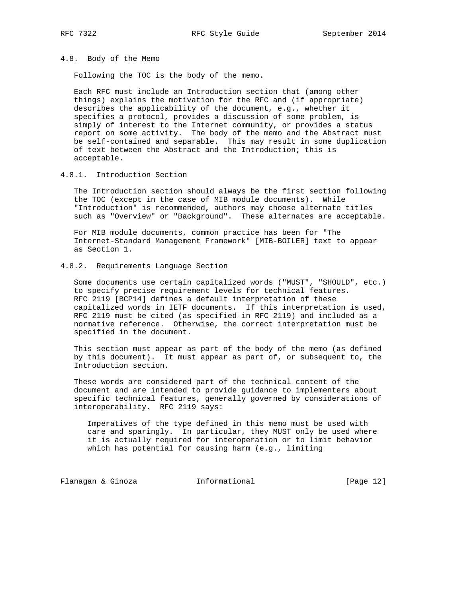### 4.8. Body of the Memo

Following the TOC is the body of the memo.

 Each RFC must include an Introduction section that (among other things) explains the motivation for the RFC and (if appropriate) describes the applicability of the document, e.g., whether it specifies a protocol, provides a discussion of some problem, is simply of interest to the Internet community, or provides a status report on some activity. The body of the memo and the Abstract must be self-contained and separable. This may result in some duplication of text between the Abstract and the Introduction; this is acceptable.

4.8.1. Introduction Section

 The Introduction section should always be the first section following the TOC (except in the case of MIB module documents). While "Introduction" is recommended, authors may choose alternate titles such as "Overview" or "Background". These alternates are acceptable.

 For MIB module documents, common practice has been for "The Internet-Standard Management Framework" [MIB-BOILER] text to appear as Section 1.

## 4.8.2. Requirements Language Section

 Some documents use certain capitalized words ("MUST", "SHOULD", etc.) to specify precise requirement levels for technical features. RFC 2119 [BCP14] defines a default interpretation of these capitalized words in IETF documents. If this interpretation is used, RFC 2119 must be cited (as specified in RFC 2119) and included as a normative reference. Otherwise, the correct interpretation must be specified in the document.

 This section must appear as part of the body of the memo (as defined by this document). It must appear as part of, or subsequent to, the Introduction section.

 These words are considered part of the technical content of the document and are intended to provide guidance to implementers about specific technical features, generally governed by considerations of interoperability. RFC 2119 says:

 Imperatives of the type defined in this memo must be used with care and sparingly. In particular, they MUST only be used where it is actually required for interoperation or to limit behavior which has potential for causing harm (e.g., limiting

Flanagan & Ginoza Informational [Page 12]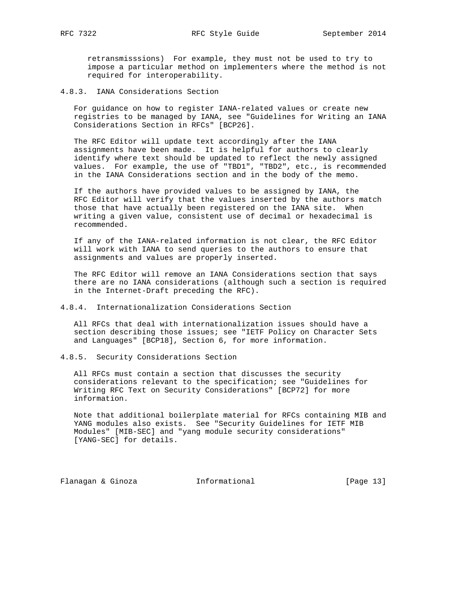retransmisssions) For example, they must not be used to try to impose a particular method on implementers where the method is not required for interoperability.

#### 4.8.3. IANA Considerations Section

 For guidance on how to register IANA-related values or create new registries to be managed by IANA, see "Guidelines for Writing an IANA Considerations Section in RFCs" [BCP26].

 The RFC Editor will update text accordingly after the IANA assignments have been made. It is helpful for authors to clearly identify where text should be updated to reflect the newly assigned values. For example, the use of "TBD1", "TBD2", etc., is recommended in the IANA Considerations section and in the body of the memo.

 If the authors have provided values to be assigned by IANA, the RFC Editor will verify that the values inserted by the authors match those that have actually been registered on the IANA site. When writing a given value, consistent use of decimal or hexadecimal is recommended.

 If any of the IANA-related information is not clear, the RFC Editor will work with IANA to send queries to the authors to ensure that assignments and values are properly inserted.

 The RFC Editor will remove an IANA Considerations section that says there are no IANA considerations (although such a section is required in the Internet-Draft preceding the RFC).

#### 4.8.4. Internationalization Considerations Section

 All RFCs that deal with internationalization issues should have a section describing those issues; see "IETF Policy on Character Sets and Languages" [BCP18], Section 6, for more information.

### 4.8.5. Security Considerations Section

 All RFCs must contain a section that discusses the security considerations relevant to the specification; see "Guidelines for Writing RFC Text on Security Considerations" [BCP72] for more information.

 Note that additional boilerplate material for RFCs containing MIB and YANG modules also exists. See "Security Guidelines for IETF MIB Modules" [MIB-SEC] and "yang module security considerations" [YANG-SEC] for details.

Flanagan & Ginoza Informational [Page 13]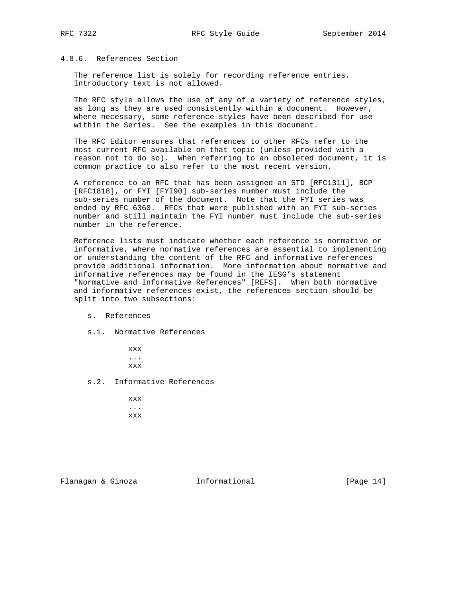## 4.8.6. References Section

 The reference list is solely for recording reference entries. Introductory text is not allowed.

 The RFC style allows the use of any of a variety of reference styles, as long as they are used consistently within a document. However, where necessary, some reference styles have been described for use within the Series. See the examples in this document.

 The RFC Editor ensures that references to other RFCs refer to the most current RFC available on that topic (unless provided with a reason not to do so). When referring to an obsoleted document, it is common practice to also refer to the most recent version.

 A reference to an RFC that has been assigned an STD [RFC1311], BCP [RFC1818], or FYI [FYI90] sub-series number must include the sub-series number of the document. Note that the FYI series was ended by RFC 6360. RFCs that were published with an FYI sub-series number and still maintain the FYI number must include the sub-series number in the reference.

 Reference lists must indicate whether each reference is normative or informative, where normative references are essential to implementing or understanding the content of the RFC and informative references provide additional information. More information about normative and informative references may be found in the IESG's statement "Normative and Informative References" [REFS]. When both normative and informative references exist, the references section should be split into two subsections:

- s. References
- s.1. Normative References

 xxx ... xxx

s.2. Informative References

 xxx ... xxx

Flanagan & Ginoza Informational [Page 14]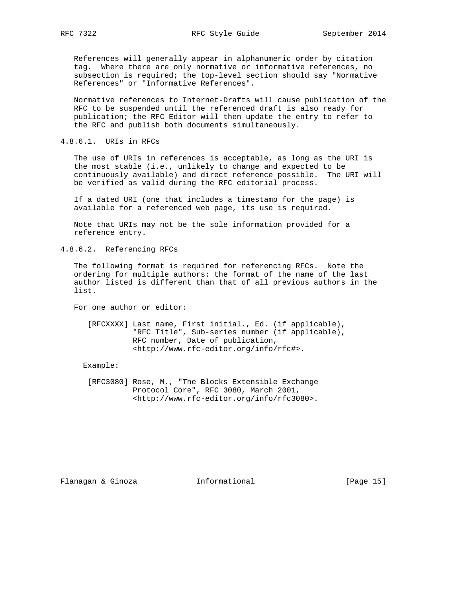References will generally appear in alphanumeric order by citation tag. Where there are only normative or informative references, no subsection is required; the top-level section should say "Normative References" or "Informative References".

 Normative references to Internet-Drafts will cause publication of the RFC to be suspended until the referenced draft is also ready for publication; the RFC Editor will then update the entry to refer to the RFC and publish both documents simultaneously.

### 4.8.6.1. URIs in RFCs

 The use of URIs in references is acceptable, as long as the URI is the most stable (i.e., unlikely to change and expected to be continuously available) and direct reference possible. The URI will be verified as valid during the RFC editorial process.

 If a dated URI (one that includes a timestamp for the page) is available for a referenced web page, its use is required.

 Note that URIs may not be the sole information provided for a reference entry.

### 4.8.6.2. Referencing RFCs

 The following format is required for referencing RFCs. Note the ordering for multiple authors: the format of the name of the last author listed is different than that of all previous authors in the list.

For one author or editor:

 [RFCXXXX] Last name, First initial., Ed. (if applicable), "RFC Title", Sub-series number (if applicable), RFC number, Date of publication, <http://www.rfc-editor.org/info/rfc#>.

#### Example:

 [RFC3080] Rose, M., "The Blocks Extensible Exchange Protocol Core", RFC 3080, March 2001, <http://www.rfc-editor.org/info/rfc3080>.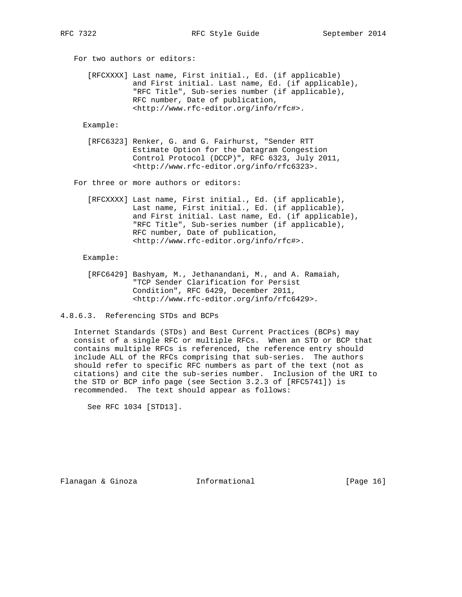For two authors or editors:

 [RFCXXXX] Last name, First initial., Ed. (if applicable) and First initial. Last name, Ed. (if applicable), "RFC Title", Sub-series number (if applicable), RFC number, Date of publication, <http://www.rfc-editor.org/info/rfc#>.

Example:

 [RFC6323] Renker, G. and G. Fairhurst, "Sender RTT Estimate Option for the Datagram Congestion Control Protocol (DCCP)", RFC 6323, July 2011, <http://www.rfc-editor.org/info/rfc6323>.

For three or more authors or editors:

 [RFCXXXX] Last name, First initial., Ed. (if applicable), Last name, First initial., Ed. (if applicable), and First initial. Last name, Ed. (if applicable), "RFC Title", Sub-series number (if applicable), RFC number, Date of publication, <http://www.rfc-editor.org/info/rfc#>.

Example:

- [RFC6429] Bashyam, M., Jethanandani, M., and A. Ramaiah, "TCP Sender Clarification for Persist Condition", RFC 6429, December 2011, <http://www.rfc-editor.org/info/rfc6429>.
- 4.8.6.3. Referencing STDs and BCPs

 Internet Standards (STDs) and Best Current Practices (BCPs) may consist of a single RFC or multiple RFCs. When an STD or BCP that contains multiple RFCs is referenced, the reference entry should include ALL of the RFCs comprising that sub-series. The authors should refer to specific RFC numbers as part of the text (not as citations) and cite the sub-series number. Inclusion of the URI to the STD or BCP info page (see Section 3.2.3 of [RFC5741]) is recommended. The text should appear as follows:

See RFC 1034 [STD13].

Flanagan & Ginoza Informational [Page 16]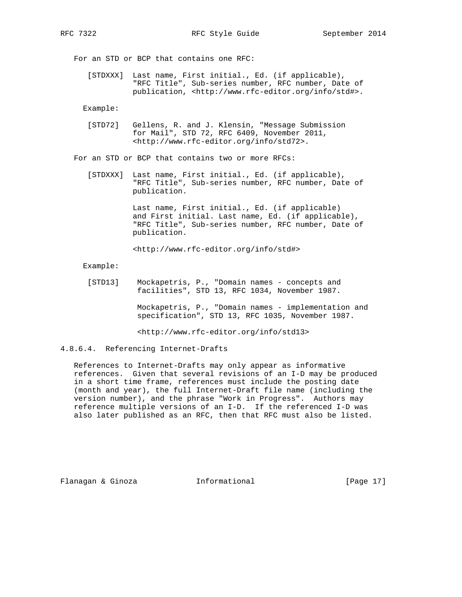For an STD or BCP that contains one RFC:

 [STDXXX] Last name, First initial., Ed. (if applicable), "RFC Title", Sub-series number, RFC number, Date of publication, <http://www.rfc-editor.org/info/std#>.

Example:

 [STD72] Gellens, R. and J. Klensin, "Message Submission for Mail", STD 72, RFC 6409, November 2011, <http://www.rfc-editor.org/info/std72>.

For an STD or BCP that contains two or more RFCs:

 [STDXXX] Last name, First initial., Ed. (if applicable), "RFC Title", Sub-series number, RFC number, Date of publication.

> Last name, First initial., Ed. (if applicable) and First initial. Last name, Ed. (if applicable), "RFC Title", Sub-series number, RFC number, Date of publication.

<http://www.rfc-editor.org/info/std#>

Example:

 [STD13] Mockapetris, P., "Domain names - concepts and facilities", STD 13, RFC 1034, November 1987.

> Mockapetris, P., "Domain names - implementation and specification", STD 13, RFC 1035, November 1987.

<http://www.rfc-editor.org/info/std13>

4.8.6.4. Referencing Internet-Drafts

 References to Internet-Drafts may only appear as informative references. Given that several revisions of an I-D may be produced in a short time frame, references must include the posting date (month and year), the full Internet-Draft file name (including the version number), and the phrase "Work in Progress". Authors may reference multiple versions of an I-D. If the referenced I-D was also later published as an RFC, then that RFC must also be listed.

Flanagan & Ginoza Informational [Page 17]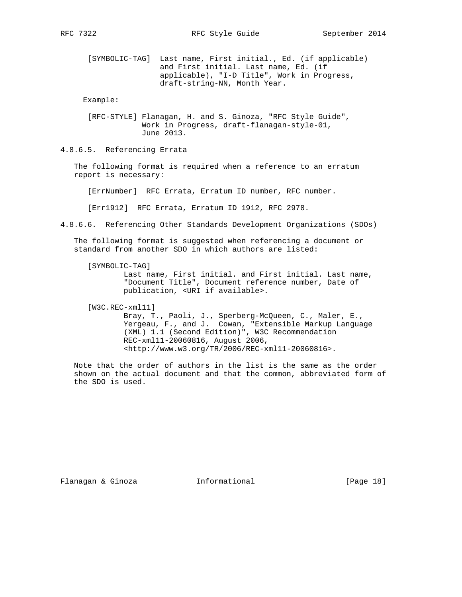[SYMBOLIC-TAG] Last name, First initial., Ed. (if applicable) and First initial. Last name, Ed. (if applicable), "I-D Title", Work in Progress, draft-string-NN, Month Year.

Example:

 [RFC-STYLE] Flanagan, H. and S. Ginoza, "RFC Style Guide", Work in Progress, draft-flanagan-style-01, June 2013.

4.8.6.5. Referencing Errata

 The following format is required when a reference to an erratum report is necessary:

[ErrNumber] RFC Errata, Erratum ID number, RFC number.

[Err1912] RFC Errata, Erratum ID 1912, RFC 2978.

4.8.6.6. Referencing Other Standards Development Organizations (SDOs)

 The following format is suggested when referencing a document or standard from another SDO in which authors are listed:

 [SYMBOLIC-TAG] Last name, First initial. and First initial. Last name, "Document Title", Document reference number, Date of publication, <URI if available>.

[W3C.REC-xml11]

 Bray, T., Paoli, J., Sperberg-McQueen, C., Maler, E., Yergeau, F., and J. Cowan, "Extensible Markup Language (XML) 1.1 (Second Edition)", W3C Recommendation REC-xml11-20060816, August 2006, <http://www.w3.org/TR/2006/REC-xml11-20060816>.

 Note that the order of authors in the list is the same as the order shown on the actual document and that the common, abbreviated form of the SDO is used.

Flanagan & Ginoza Informational [Page 18]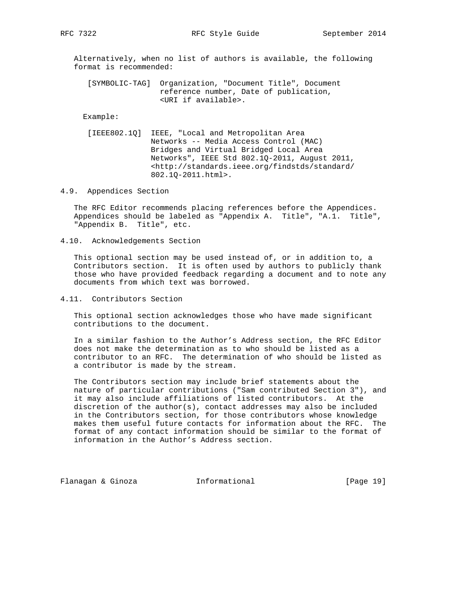RFC 7322 RFC Style Guide September 2014

 Alternatively, when no list of authors is available, the following format is recommended:

 [SYMBOLIC-TAG] Organization, "Document Title", Document reference number, Date of publication, <URI if available>.

#### Example:

 [IEEE802.1Q] IEEE, "Local and Metropolitan Area Networks -- Media Access Control (MAC) Bridges and Virtual Bridged Local Area Networks", IEEE Std 802.1Q-2011, August 2011, <http://standards.ieee.org/findstds/standard/ 802.1Q-2011.html>.

#### 4.9. Appendices Section

 The RFC Editor recommends placing references before the Appendices. Appendices should be labeled as "Appendix A. Title", "A.1. Title", "Appendix B. Title", etc.

4.10. Acknowledgements Section

 This optional section may be used instead of, or in addition to, a Contributors section. It is often used by authors to publicly thank those who have provided feedback regarding a document and to note any documents from which text was borrowed.

4.11. Contributors Section

 This optional section acknowledges those who have made significant contributions to the document.

 In a similar fashion to the Author's Address section, the RFC Editor does not make the determination as to who should be listed as a contributor to an RFC. The determination of who should be listed as a contributor is made by the stream.

 The Contributors section may include brief statements about the nature of particular contributions ("Sam contributed Section 3"), and it may also include affiliations of listed contributors. At the discretion of the  $author(s)$ , contact addresses may also be included in the Contributors section, for those contributors whose knowledge makes them useful future contacts for information about the RFC. The format of any contact information should be similar to the format of information in the Author's Address section.

Flanagan & Ginoza Informational [Page 19]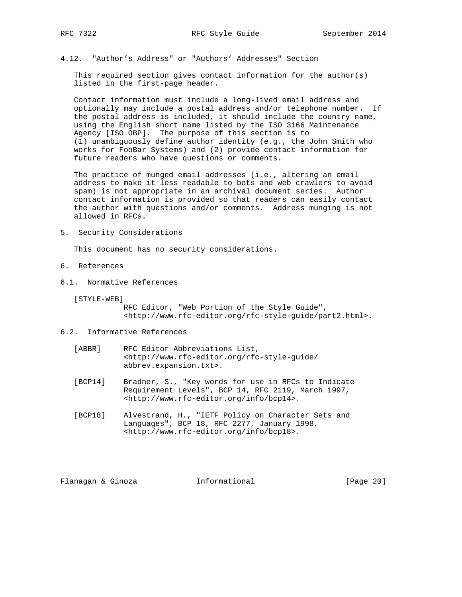4.12. "Author's Address" or "Authors' Addresses" Section

This required section gives contact information for the author(s) listed in the first-page header.

 Contact information must include a long-lived email address and optionally may include a postal address and/or telephone number. If the postal address is included, it should include the country name, using the English short name listed by the ISO 3166 Maintenance Agency [ISO\_OBP]. The purpose of this section is to (1) unambiguously define author identity (e.g., the John Smith who works for FooBar Systems) and (2) provide contact information for future readers who have questions or comments.

 The practice of munged email addresses (i.e., altering an email address to make it less readable to bots and web crawlers to avoid spam) is not appropriate in an archival document series. Author contact information is provided so that readers can easily contact the author with questions and/or comments. Address munging is not allowed in RFCs.

5. Security Considerations

This document has no security considerations.

- 6. References
- 6.1. Normative References
	- [STYLE-WEB]

 RFC Editor, "Web Portion of the Style Guide", <http://www.rfc-editor.org/rfc-style-guide/part2.html>.

- 6.2. Informative References
	- [ABBR] RFC Editor Abbreviations List, <http://www.rfc-editor.org/rfc-style-guide/ abbrev.expansion.txt>.
	- [BCP14] Bradner, S., "Key words for use in RFCs to Indicate Requirement Levels", BCP 14, RFC 2119, March 1997, <http://www.rfc-editor.org/info/bcp14>.
	- [BCP18] Alvestrand, H., "IETF Policy on Character Sets and Languages", BCP 18, RFC 2277, January 1998, <http://www.rfc-editor.org/info/bcp18>.

Flanagan & Ginoza Informational [Page 20]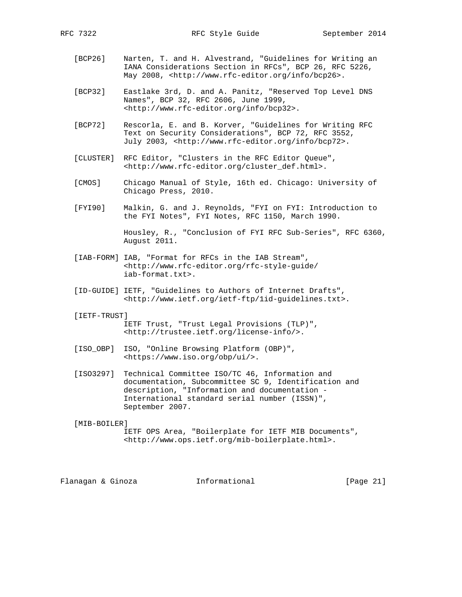- [BCP26] Narten, T. and H. Alvestrand, "Guidelines for Writing an IANA Considerations Section in RFCs", BCP 26, RFC 5226, May 2008, <http://www.rfc-editor.org/info/bcp26>.
- [BCP32] Eastlake 3rd, D. and A. Panitz, "Reserved Top Level DNS Names", BCP 32, RFC 2606, June 1999, <http://www.rfc-editor.org/info/bcp32>.
- [BCP72] Rescorla, E. and B. Korver, "Guidelines for Writing RFC Text on Security Considerations", BCP 72, RFC 3552, July 2003, <http://www.rfc-editor.org/info/bcp72>.
- [CLUSTER] RFC Editor, "Clusters in the RFC Editor Queue", <http://www.rfc-editor.org/cluster\_def.html>.
- [CMOS] Chicago Manual of Style, 16th ed. Chicago: University of Chicago Press, 2010.
- [FYI90] Malkin, G. and J. Reynolds, "FYI on FYI: Introduction to the FYI Notes", FYI Notes, RFC 1150, March 1990.

 Housley, R., "Conclusion of FYI RFC Sub-Series", RFC 6360, August 2011.

- [IAB-FORM] IAB, "Format for RFCs in the IAB Stream", <http://www.rfc-editor.org/rfc-style-guide/ iab-format.txt>.
- [ID-GUIDE] IETF, "Guidelines to Authors of Internet Drafts", <http://www.ietf.org/ietf-ftp/1id-guidelines.txt>.
- [IETF-TRUST]

 IETF Trust, "Trust Legal Provisions (TLP)", <http://trustee.ietf.org/license-info/>.

- [ISO\_OBP] ISO, "Online Browsing Platform (OBP)", <https://www.iso.org/obp/ui/>.
- [ISO3297] Technical Committee ISO/TC 46, Information and documentation, Subcommittee SC 9, Identification and description, "Information and documentation - International standard serial number (ISSN)", September 2007.

[MIB-BOILER]

 IETF OPS Area, "Boilerplate for IETF MIB Documents", <http://www.ops.ietf.org/mib-boilerplate.html>.

Flanagan & Ginoza Informational [Page 21]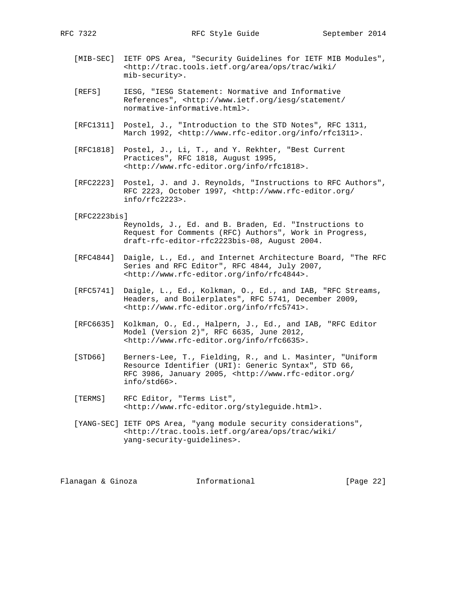- [MIB-SEC] IETF OPS Area, "Security Guidelines for IETF MIB Modules", <http://trac.tools.ietf.org/area/ops/trac/wiki/ mib-security>.
- [REFS] IESG, "IESG Statement: Normative and Informative References", <http://www.ietf.org/iesg/statement/ normative-informative.html>.
- [RFC1311] Postel, J., "Introduction to the STD Notes", RFC 1311, March 1992, <http://www.rfc-editor.org/info/rfc1311>.
- [RFC1818] Postel, J., Li, T., and Y. Rekhter, "Best Current Practices", RFC 1818, August 1995, <http://www.rfc-editor.org/info/rfc1818>.
- [RFC2223] Postel, J. and J. Reynolds, "Instructions to RFC Authors", RFC 2223, October 1997, <http://www.rfc-editor.org/ info/rfc2223>.

#### [RFC2223bis]

 Reynolds, J., Ed. and B. Braden, Ed. "Instructions to Request for Comments (RFC) Authors", Work in Progress, draft-rfc-editor-rfc2223bis-08, August 2004.

- [RFC4844] Daigle, L., Ed., and Internet Architecture Board, "The RFC Series and RFC Editor", RFC 4844, July 2007, <http://www.rfc-editor.org/info/rfc4844>.
- [RFC5741] Daigle, L., Ed., Kolkman, O., Ed., and IAB, "RFC Streams, Headers, and Boilerplates", RFC 5741, December 2009, <http://www.rfc-editor.org/info/rfc5741>.
- [RFC6635] Kolkman, O., Ed., Halpern, J., Ed., and IAB, "RFC Editor Model (Version 2)", RFC 6635, June 2012, <http://www.rfc-editor.org/info/rfc6635>.
- [STD66] Berners-Lee, T., Fielding, R., and L. Masinter, "Uniform Resource Identifier (URI): Generic Syntax", STD 66, RFC 3986, January 2005, <http://www.rfc-editor.org/ info/std66>.
- [TERMS] RFC Editor, "Terms List", <http://www.rfc-editor.org/styleguide.html>.
- [YANG-SEC] IETF OPS Area, "yang module security considerations", <http://trac.tools.ietf.org/area/ops/trac/wiki/ yang-security-guidelines>.

Flanagan & Ginoza Informational [Page 22]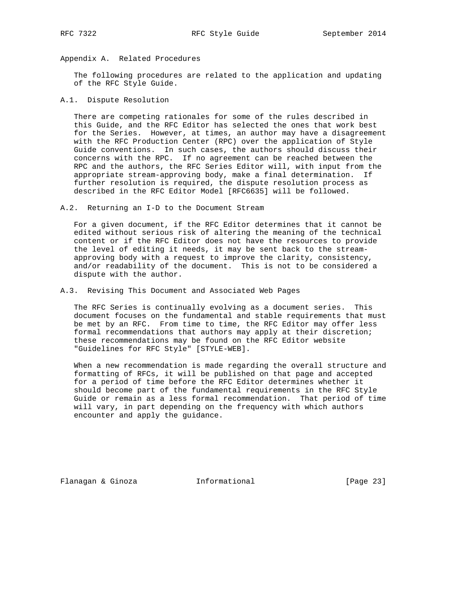## Appendix A. Related Procedures

 The following procedures are related to the application and updating of the RFC Style Guide.

### A.1. Dispute Resolution

 There are competing rationales for some of the rules described in this Guide, and the RFC Editor has selected the ones that work best for the Series. However, at times, an author may have a disagreement with the RFC Production Center (RPC) over the application of Style Guide conventions. In such cases, the authors should discuss their concerns with the RPC. If no agreement can be reached between the RPC and the authors, the RFC Series Editor will, with input from the appropriate stream-approving body, make a final determination. If further resolution is required, the dispute resolution process as described in the RFC Editor Model [RFC6635] will be followed.

A.2. Returning an I-D to the Document Stream

 For a given document, if the RFC Editor determines that it cannot be edited without serious risk of altering the meaning of the technical content or if the RFC Editor does not have the resources to provide the level of editing it needs, it may be sent back to the stream approving body with a request to improve the clarity, consistency, and/or readability of the document. This is not to be considered a dispute with the author.

A.3. Revising This Document and Associated Web Pages

 The RFC Series is continually evolving as a document series. This document focuses on the fundamental and stable requirements that must be met by an RFC. From time to time, the RFC Editor may offer less formal recommendations that authors may apply at their discretion; these recommendations may be found on the RFC Editor website "Guidelines for RFC Style" [STYLE-WEB].

 When a new recommendation is made regarding the overall structure and formatting of RFCs, it will be published on that page and accepted for a period of time before the RFC Editor determines whether it should become part of the fundamental requirements in the RFC Style Guide or remain as a less formal recommendation. That period of time will vary, in part depending on the frequency with which authors encounter and apply the guidance.

Flanagan & Ginoza Informational [Page 23]